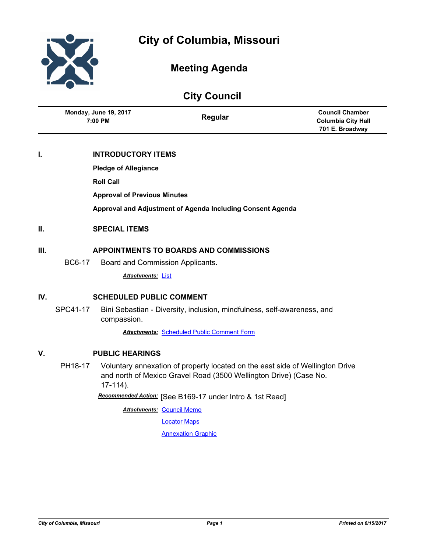

# **Meeting Agenda**

# **City Council**

| <b>Monday, June 19, 2017</b> | Regular | <b>Council Chamber</b> |
|------------------------------|---------|------------------------|
| 7:00 PM                      |         | Columbia City Hall     |
|                              |         | 701 E. Broadway        |

# **I. INTRODUCTORY ITEMS**

**Pledge of Allegiance**

**Roll Call**

**Approval of Previous Minutes**

**Approval and Adjustment of Agenda Including Consent Agenda**

## **II. SPECIAL ITEMS**

## **III. APPOINTMENTS TO BOARDS AND COMMISSIONS**

BC6-17 Board and Commission Applicants.

*Attachments:* [List](http://gocolumbiamo.legistar.com/gateway.aspx?M=F&ID=ef31cf55-4eba-4957-a665-50706f1960ab.pdf)

# **IV. SCHEDULED PUBLIC COMMENT**

SPC41-17 Bini Sebastian - Diversity, inclusion, mindfulness, self-awareness, and compassion.

*Attachments:* [Scheduled Public Comment Form](http://gocolumbiamo.legistar.com/gateway.aspx?M=F&ID=ed7e519a-5c9f-48c8-8fa1-3892b9861032.pdf)

## **V. PUBLIC HEARINGS**

PH18-17 Voluntary annexation of property located on the east side of Wellington Drive and north of Mexico Gravel Road (3500 Wellington Drive) (Case No. 17-114).

*Recommended Action:* [See B169-17 under Intro & 1st Read]

**Attachments: [Council Memo](http://gocolumbiamo.legistar.com/gateway.aspx?M=F&ID=82f854ea-9870-43d8-be96-06e08352dd4b.docx)** 

[Locator Maps](http://gocolumbiamo.legistar.com/gateway.aspx?M=F&ID=a384c0ab-3a26-497d-9dd7-d7e9f4a853b8.pdf)

**[Annexation Graphic](http://gocolumbiamo.legistar.com/gateway.aspx?M=F&ID=5081416b-bd55-4a4f-8ea5-21b42609fca4.pdf)**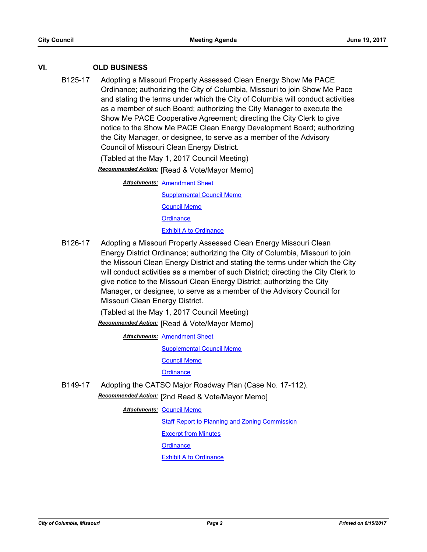# **VI. OLD BUSINESS**

B125-17 Adopting a Missouri Property Assessed Clean Energy Show Me PACE Ordinance; authorizing the City of Columbia, Missouri to join Show Me Pace and stating the terms under which the City of Columbia will conduct activities as a member of such Board; authorizing the City Manager to execute the Show Me PACE Cooperative Agreement; directing the City Clerk to give notice to the Show Me PACE Clean Energy Development Board; authorizing the City Manager, or designee, to serve as a member of the Advisory Council of Missouri Clean Energy District.

(Tabled at the May 1, 2017 Council Meeting)

*Recommended Action:* [Read & Vote/Mayor Memo]

**Attachments: [Amendment Sheet](http://gocolumbiamo.legistar.com/gateway.aspx?M=F&ID=3e6cbaca-18a6-4c05-ba6b-89c08aae2b1f.pdf)** [Supplemental Council Memo](http://gocolumbiamo.legistar.com/gateway.aspx?M=F&ID=53157a7e-729a-4e1b-b89c-c0d5dcf19048.docx) [Council Memo](http://gocolumbiamo.legistar.com/gateway.aspx?M=F&ID=7fc269a9-fae2-4ed8-bd8b-eb01b99ad12e.docx) **[Ordinance](http://gocolumbiamo.legistar.com/gateway.aspx?M=F&ID=07462f43-afbc-4a60-92dd-2b9b0c58682d.doc)** [Exhibit A to Ordinance](http://gocolumbiamo.legistar.com/gateway.aspx?M=F&ID=076b6385-f93a-4141-bab3-7c1d2310b8b2.docx)

B126-17 Adopting a Missouri Property Assessed Clean Energy Missouri Clean Energy District Ordinance; authorizing the City of Columbia, Missouri to join the Missouri Clean Energy District and stating the terms under which the City will conduct activities as a member of such District; directing the City Clerk to give notice to the Missouri Clean Energy District; authorizing the City Manager, or designee, to serve as a member of the Advisory Council for Missouri Clean Energy District.

(Tabled at the May 1, 2017 Council Meeting)

*Recommended Action:* [Read & Vote/Mayor Memo]

**Attachments: [Amendment Sheet](http://gocolumbiamo.legistar.com/gateway.aspx?M=F&ID=39a2cd99-fd2d-44f0-a08c-2ddbc912cca7.pdf)** 

[Supplemental Council Memo](http://gocolumbiamo.legistar.com/gateway.aspx?M=F&ID=ddb1fc97-29fc-414b-b401-dc904edffb0f.docx)

[Council Memo](http://gocolumbiamo.legistar.com/gateway.aspx?M=F&ID=f1f942a2-cde5-47f9-8331-e47959cd7e7b.docx)

**[Ordinance](http://gocolumbiamo.legistar.com/gateway.aspx?M=F&ID=7b8ab035-9d43-463a-b79c-fbda10edb120.doc)** 

B149-17 Adopting the CATSO Major Roadway Plan (Case No. 17-112). *Recommended Action:* [2nd Read & Vote/Mayor Memo]

**Attachments: [Council Memo](http://gocolumbiamo.legistar.com/gateway.aspx?M=F&ID=29a4fd8a-8d66-42f0-b1cd-5ce4b977473a.docx)** 

**[Staff Report to Planning and Zoning Commission](http://gocolumbiamo.legistar.com/gateway.aspx?M=F&ID=a040275c-9eae-445e-aed4-12818b7a5a6a.pdf)** 

[Excerpt from Minutes](http://gocolumbiamo.legistar.com/gateway.aspx?M=F&ID=27b231cf-b75b-4a67-a129-cb6b1ed384aa.pdf)

**[Ordinance](http://gocolumbiamo.legistar.com/gateway.aspx?M=F&ID=e50fa5af-9779-4938-82f8-8efc47a6245f.doc)**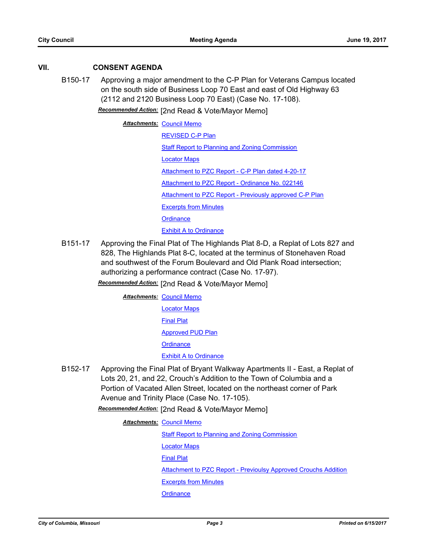# **VII. CONSENT AGENDA**

B150-17 Approving a major amendment to the C-P Plan for Veterans Campus located on the south side of Business Loop 70 East and east of Old Highway 63 (2112 and 2120 Business Loop 70 East) (Case No. 17-108).

*Recommended Action:* [2nd Read & Vote/Mayor Memo]

**Attachments: [Council Memo](http://gocolumbiamo.legistar.com/gateway.aspx?M=F&ID=4c15980b-f1dd-42ea-a0bf-2acd8361ba25.docx)** [REVISED C-P Plan](http://gocolumbiamo.legistar.com/gateway.aspx?M=F&ID=f33ddc29-e3c1-4ab5-aaf3-03cfdd08528f.pdf) [Staff Report to Planning and Zoning Commission](http://gocolumbiamo.legistar.com/gateway.aspx?M=F&ID=5e8af90b-78a7-427d-9f86-1a8e6727beda.docx) [Locator Maps](http://gocolumbiamo.legistar.com/gateway.aspx?M=F&ID=3a4bea1c-b8a8-4993-a483-af703ee6b726.pdf) [Attachment to PZC Report - C-P Plan dated 4-20-17](http://gocolumbiamo.legistar.com/gateway.aspx?M=F&ID=594e48bd-c97d-4033-9c10-378361b71959.pdf) [Attachment to PZC Report - Ordinance No. 022146](http://gocolumbiamo.legistar.com/gateway.aspx?M=F&ID=ab192088-fc70-4155-9665-16f66294bed5.pdf) [Attachment to PZC Report - Previously approved C-P Plan](http://gocolumbiamo.legistar.com/gateway.aspx?M=F&ID=62bf7d24-9aad-4f76-9ce4-898c78adf613.pdf) [Excerpts from Minutes](http://gocolumbiamo.legistar.com/gateway.aspx?M=F&ID=db2c6619-d21b-467d-a886-03b91120d06b.docx) **[Ordinance](http://gocolumbiamo.legistar.com/gateway.aspx?M=F&ID=89341632-f3e2-4828-9214-e59a9c811ad9.doc) [Exhibit A to Ordinance](http://gocolumbiamo.legistar.com/gateway.aspx?M=F&ID=fb8e6726-d053-421d-a550-bbf3af1e72e5.pdf)** 

B151-17 Approving the Final Plat of The Highlands Plat 8-D, a Replat of Lots 827 and 828, The Highlands Plat 8-C, located at the terminus of Stonehaven Road and southwest of the Forum Boulevard and Old Plank Road intersection; authorizing a performance contract (Case No. 17-97).

*Recommended Action:* [2nd Read & Vote/Mayor Memo]

**Attachments: [Council Memo](http://gocolumbiamo.legistar.com/gateway.aspx?M=F&ID=441631d6-b8b0-4932-bbe6-6cff7b73f091.docx)** [Locator Maps](http://gocolumbiamo.legistar.com/gateway.aspx?M=F&ID=3c6d30d7-4429-4f3e-9683-a596ab190575.pdf) [Final Plat](http://gocolumbiamo.legistar.com/gateway.aspx?M=F&ID=57aacdb9-203c-4782-9ae7-a5385928c228.pdf) [Approved PUD Plan](http://gocolumbiamo.legistar.com/gateway.aspx?M=F&ID=3262af23-3a4f-4040-b61f-e674657afebe.pdf) **[Ordinance](http://gocolumbiamo.legistar.com/gateway.aspx?M=F&ID=149f3073-3dde-4c74-a323-a2482e2627de.doc)** [Exhibit A to Ordinance](http://gocolumbiamo.legistar.com/gateway.aspx?M=F&ID=91aa4027-b00b-4abb-bec9-29ba8a1685e9.pdf)

B152-17 Approving the Final Plat of Bryant Walkway Apartments II - East, a Replat of Lots 20, 21, and 22, Crouch's Addition to the Town of Columbia and a Portion of Vacated Allen Street, located on the northeast corner of Park Avenue and Trinity Place (Case No. 17-105).

*Recommended Action:* [2nd Read & Vote/Mayor Memo]

**Attachments: [Council Memo](http://gocolumbiamo.legistar.com/gateway.aspx?M=F&ID=f4943443-8dda-4ea2-8e01-c709bc61755d.docx)** 

[Staff Report to Planning and Zoning Commission](http://gocolumbiamo.legistar.com/gateway.aspx?M=F&ID=6eb3896a-dc16-44bd-aca4-a332e444759b.pdf)

[Locator Maps](http://gocolumbiamo.legistar.com/gateway.aspx?M=F&ID=331ce2d6-0d1e-4524-8a87-7e2aa5c73962.pdf)

[Final Plat](http://gocolumbiamo.legistar.com/gateway.aspx?M=F&ID=7d3d109e-bfb7-4268-aa2e-4723defe84e0.pdf)

[Attachment to PZC Report - Previoulsy Approved Crouchs Addition](http://gocolumbiamo.legistar.com/gateway.aspx?M=F&ID=720ca2bd-378f-48af-a814-ec9989d57bcb.pdf)

[Excerpts from Minutes](http://gocolumbiamo.legistar.com/gateway.aspx?M=F&ID=f4144ecb-7bd5-440a-b816-998ebcf374ba.docx)

**[Ordinance](http://gocolumbiamo.legistar.com/gateway.aspx?M=F&ID=6b29fca1-563b-4a22-adf9-b511c0c894d8.doc)**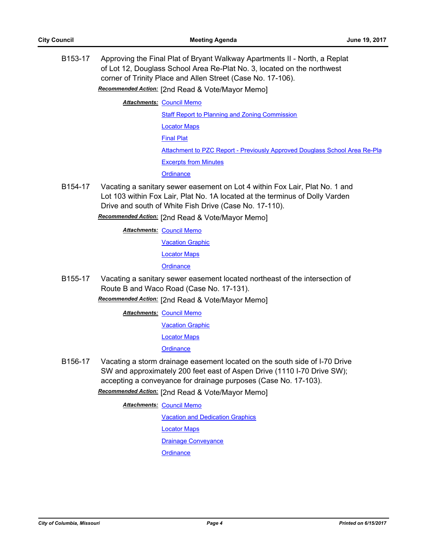B153-17 Approving the Final Plat of Bryant Walkway Apartments II - North, a Replat of Lot 12, Douglass School Area Re-Plat No. 3, located on the northwest corner of Trinity Place and Allen Street (Case No. 17-106).

*Recommended Action:* [2nd Read & Vote/Mayor Memo]

**Attachments: [Council Memo](http://gocolumbiamo.legistar.com/gateway.aspx?M=F&ID=e11e7908-294e-47f9-b8e3-c0e481bdfa57.docx)** 

[Staff Report to Planning and Zoning Commission](http://gocolumbiamo.legistar.com/gateway.aspx?M=F&ID=55ec9221-06d5-42fc-bf8c-516c67f93c27.pdf)

[Locator Maps](http://gocolumbiamo.legistar.com/gateway.aspx?M=F&ID=91613208-11f1-4f22-a5e4-9fa0bd7274d6.pdf)

[Final Plat](http://gocolumbiamo.legistar.com/gateway.aspx?M=F&ID=6b64b2fe-60d0-4f7b-8229-88a4f386bebe.pdf)

[Attachment to PZC Report - Previously Approved Douglass School Area Re-Pla](http://gocolumbiamo.legistar.com/gateway.aspx?M=F&ID=b2224017-afca-442a-ba80-89fab5f7e6bf.pdf)

[Excerpts from Minutes](http://gocolumbiamo.legistar.com/gateway.aspx?M=F&ID=a9f39967-c9b9-448d-a2d8-f8a9ea78255a.docx)

**[Ordinance](http://gocolumbiamo.legistar.com/gateway.aspx?M=F&ID=7ff799ee-a35d-4323-9d82-9536752c600a.doc)** 

B154-17 Vacating a sanitary sewer easement on Lot 4 within Fox Lair, Plat No. 1 and Lot 103 within Fox Lair, Plat No. 1A located at the terminus of Dolly Varden Drive and south of White Fish Drive (Case No. 17-110).

*Recommended Action:* [2nd Read & Vote/Mayor Memo]

**Attachments: [Council Memo](http://gocolumbiamo.legistar.com/gateway.aspx?M=F&ID=c13fa4f6-77ac-455f-809a-19ff18e38f72.docx)** 

[Vacation Graphic](http://gocolumbiamo.legistar.com/gateway.aspx?M=F&ID=7147abd6-fceb-419c-97b0-b57211150d0a.pdf)

[Locator Maps](http://gocolumbiamo.legistar.com/gateway.aspx?M=F&ID=6473585d-c685-484d-af75-fb7f57b8b0ed.pdf)

**[Ordinance](http://gocolumbiamo.legistar.com/gateway.aspx?M=F&ID=d6e9b17a-7db3-4cfc-8b88-0d56f90b8ae6.doc)** 

B155-17 Vacating a sanitary sewer easement located northeast of the intersection of Route B and Waco Road (Case No. 17-131).

*Recommended Action:* [2nd Read & Vote/Mayor Memo]

**Attachments: [Council Memo](http://gocolumbiamo.legistar.com/gateway.aspx?M=F&ID=959c2fb2-1b93-4bde-a0ae-3e7bdc27bf02.docx)** 

[Vacation Graphic](http://gocolumbiamo.legistar.com/gateway.aspx?M=F&ID=f9f6bb75-5711-413a-94d8-6bd81c8a8305.pdf)

[Locator Maps](http://gocolumbiamo.legistar.com/gateway.aspx?M=F&ID=6d42b392-e639-4ac5-9da7-f5ae7d6ecc1e.pdf)

**[Ordinance](http://gocolumbiamo.legistar.com/gateway.aspx?M=F&ID=43dd98bd-fec9-4484-9ece-8e13b7ef8eba.doc)** 

B156-17 Vacating a storm drainage easement located on the south side of I-70 Drive SW and approximately 200 feet east of Aspen Drive (1110 I-70 Drive SW); accepting a conveyance for drainage purposes (Case No. 17-103).

*Recommended Action:* [2nd Read & Vote/Mayor Memo]

**Attachments: [Council Memo](http://gocolumbiamo.legistar.com/gateway.aspx?M=F&ID=6c19eff1-36dc-45a8-8519-42e2d5193f4a.docx)** 

[Vacation and Dedication Graphics](http://gocolumbiamo.legistar.com/gateway.aspx?M=F&ID=5b2334b6-8bf6-4a78-bb01-b1e85b1cd063.pdf)

[Locator Maps](http://gocolumbiamo.legistar.com/gateway.aspx?M=F&ID=52cd641a-410a-4b66-9fcc-ff1669881503.pdf)

**[Drainage Conveyance](http://gocolumbiamo.legistar.com/gateway.aspx?M=F&ID=3b4259f8-e712-4221-98fb-63ed840fd0e0.pdf)** 

**[Ordinance](http://gocolumbiamo.legistar.com/gateway.aspx?M=F&ID=4d0df8c8-a484-46a5-92ed-8aed78cdc578.doc)**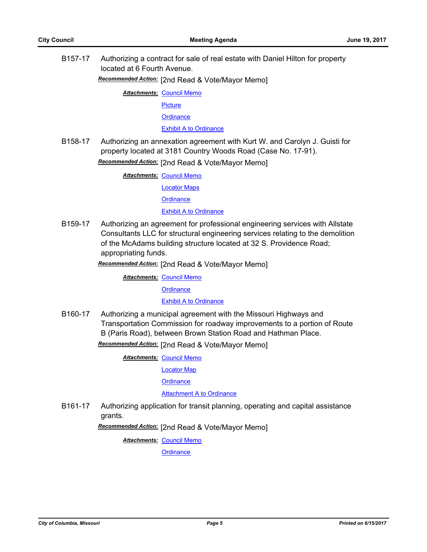B157-17 Authorizing a contract for sale of real estate with Daniel Hilton for property located at 6 Fourth Avenue.

*Recommended Action:* [2nd Read & Vote/Mayor Memo]

**Attachments: [Council Memo](http://gocolumbiamo.legistar.com/gateway.aspx?M=F&ID=6c1b4a0a-fd1f-4d66-a306-9fad37bce611.docx)** 

**[Picture](http://gocolumbiamo.legistar.com/gateway.aspx?M=F&ID=bda3a999-f6db-4ada-8b7f-662d5b7a530d.pdf)** 

**[Ordinance](http://gocolumbiamo.legistar.com/gateway.aspx?M=F&ID=66937173-aba6-41e2-88d2-4fe2705a3746.doc)** 

[Exhibit A to Ordinance](http://gocolumbiamo.legistar.com/gateway.aspx?M=F&ID=ff6acfde-3c1d-4256-9e8e-c70eddc9cac6.pdf)

B158-17 Authorizing an annexation agreement with Kurt W. and Carolyn J. Guisti for property located at 3181 Country Woods Road (Case No. 17-91).

*Recommended Action:* [2nd Read & Vote/Mayor Memo]

**Attachments: [Council Memo](http://gocolumbiamo.legistar.com/gateway.aspx?M=F&ID=41333aad-9a62-4646-804a-94112a1b4700.docx)** 

[Locator Maps](http://gocolumbiamo.legistar.com/gateway.aspx?M=F&ID=f0315af5-e181-4171-837d-2ac96404a417.pdf)

**[Ordinance](http://gocolumbiamo.legistar.com/gateway.aspx?M=F&ID=08e45036-0ad4-42b5-94cd-aa949987ff91.doc)** 

**[Exhibit A to Ordinance](http://gocolumbiamo.legistar.com/gateway.aspx?M=F&ID=7dadfba1-5c8c-4044-bd67-e59b9e401510.pdf)** 

B159-17 Authorizing an agreement for professional engineering services with Allstate Consultants LLC for structural engineering services relating to the demolition of the McAdams building structure located at 32 S. Providence Road; appropriating funds.

*Recommended Action:* [2nd Read & Vote/Mayor Memo]

**Attachments: [Council Memo](http://gocolumbiamo.legistar.com/gateway.aspx?M=F&ID=97cb9db8-f6e2-440f-868b-970c419ac444.docx)** 

**[Ordinance](http://gocolumbiamo.legistar.com/gateway.aspx?M=F&ID=064d2f93-9521-49bf-a2fe-23c893a120d3.doc)** 

[Exhibit A to Ordinance](http://gocolumbiamo.legistar.com/gateway.aspx?M=F&ID=4aba9931-ae8c-44b3-886f-2a4fd5d5849f.pdf)

B160-17 Authorizing a municipal agreement with the Missouri Highways and Transportation Commission for roadway improvements to a portion of Route B (Paris Road), between Brown Station Road and Hathman Place.

*Recommended Action:* [2nd Read & Vote/Mayor Memo]

**Attachments: [Council Memo](http://gocolumbiamo.legistar.com/gateway.aspx?M=F&ID=cca5ae39-172e-4c6c-b395-01b00f2c850b.docx)** 

[Locator Map](http://gocolumbiamo.legistar.com/gateway.aspx?M=F&ID=aedf31cf-4b8e-4205-a01f-75c27892ee5d.pdf)

**[Ordinance](http://gocolumbiamo.legistar.com/gateway.aspx?M=F&ID=ce6d8819-35a1-40ab-8751-26bf6b926b1e.doc)** 

[Attachment A to Ordinance](http://gocolumbiamo.legistar.com/gateway.aspx?M=F&ID=d74add4a-5b63-4ec2-a582-234efd95efb8.pdf)

B161-17 Authorizing application for transit planning, operating and capital assistance grants.

*Recommended Action:* [2nd Read & Vote/Mayor Memo]

**Attachments: [Council Memo](http://gocolumbiamo.legistar.com/gateway.aspx?M=F&ID=d7520b52-eda9-4f2c-9e57-41ca0d350a69.docx)** 

**[Ordinance](http://gocolumbiamo.legistar.com/gateway.aspx?M=F&ID=47bf800f-6acb-4db8-b730-2f9d55fd3f4e.doc)**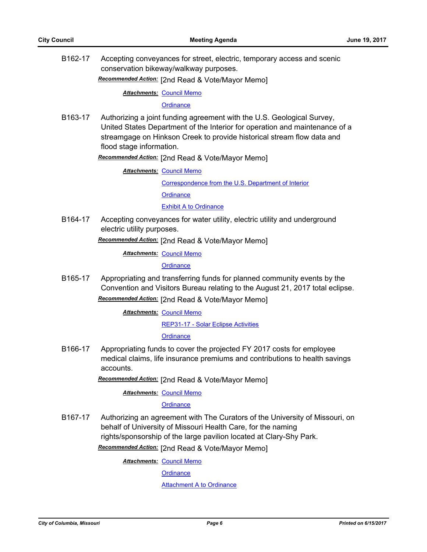B162-17 Accepting conveyances for street, electric, temporary access and scenic conservation bikeway/walkway purposes.

*Recommended Action:* [2nd Read & Vote/Mayor Memo]

**Attachments: [Council Memo](http://gocolumbiamo.legistar.com/gateway.aspx?M=F&ID=3237066d-e458-4d3c-8733-5132c821714d.docx)** 

**[Ordinance](http://gocolumbiamo.legistar.com/gateway.aspx?M=F&ID=bbdd1e6c-833c-46c9-a7a2-c65cd9cbeef2.doc)** 

B163-17 Authorizing a joint funding agreement with the U.S. Geological Survey, United States Department of the Interior for operation and maintenance of a streamgage on Hinkson Creek to provide historical stream flow data and flood stage information.

*Recommended Action:* [2nd Read & Vote/Mayor Memo]

**Attachments: [Council Memo](http://gocolumbiamo.legistar.com/gateway.aspx?M=F&ID=e670768b-ae32-4998-ad51-0c70abcc7d71.docx)** [Correspondence from the U.S. Department of Interior](http://gocolumbiamo.legistar.com/gateway.aspx?M=F&ID=f8c0698f-cfb2-440f-a51b-60ceb7eb668b.pdf) **[Ordinance](http://gocolumbiamo.legistar.com/gateway.aspx?M=F&ID=58c38d80-bdb1-4dc2-85b9-fb9da8330fe2.doc) [Exhibit A to Ordinance](http://gocolumbiamo.legistar.com/gateway.aspx?M=F&ID=5c721fc1-8a0c-4569-bc5a-1a9fdee579ab.pdf)** 

B164-17 Accepting conveyances for water utility, electric utility and underground electric utility purposes.

*Recommended Action:* [2nd Read & Vote/Mayor Memo]

**Attachments: [Council Memo](http://gocolumbiamo.legistar.com/gateway.aspx?M=F&ID=bc5e9337-1fa7-43e4-abc0-697603dac3f1.docx)** 

**[Ordinance](http://gocolumbiamo.legistar.com/gateway.aspx?M=F&ID=bd1fc3ea-2627-4e2a-927d-c2a4d93cc15d.doc)** 

B165-17 Appropriating and transferring funds for planned community events by the Convention and Visitors Bureau relating to the August 21, 2017 total eclipse. *Recommended Action:* [2nd Read & Vote/Mayor Memo]

**Attachments: [Council Memo](http://gocolumbiamo.legistar.com/gateway.aspx?M=F&ID=2086228f-7ea5-417b-87e2-f5f77a1c89c9.docx)** 

[REP31-17 - Solar Eclipse Activities](http://gocolumbiamo.legistar.com/gateway.aspx?M=F&ID=b52c00b5-19d2-41ba-930e-6547f3210dc7.docx)

**[Ordinance](http://gocolumbiamo.legistar.com/gateway.aspx?M=F&ID=5489ac2d-2092-4226-89cf-9699818bc66f.doc)** 

B166-17 Appropriating funds to cover the projected FY 2017 costs for employee medical claims, life insurance premiums and contributions to health savings accounts.

*Recommended Action:* [2nd Read & Vote/Mayor Memo]

**Attachments: [Council Memo](http://gocolumbiamo.legistar.com/gateway.aspx?M=F&ID=ead2a704-8d2a-46b6-ab77-aeba09b9e91a.docx)** 

**[Ordinance](http://gocolumbiamo.legistar.com/gateway.aspx?M=F&ID=3cf3b67d-72f2-4b75-8fd0-c6d246c9e569.doc)** 

B167-17 Authorizing an agreement with The Curators of the University of Missouri, on behalf of University of Missouri Health Care, for the naming rights/sponsorship of the large pavilion located at Clary-Shy Park.

*Recommended Action:* [2nd Read & Vote/Mayor Memo]

**Attachments: [Council Memo](http://gocolumbiamo.legistar.com/gateway.aspx?M=F&ID=fee2dcde-d237-469d-8128-37df32f52f54.docx)** 

**[Ordinance](http://gocolumbiamo.legistar.com/gateway.aspx?M=F&ID=18ee53ef-cc79-4258-a8cd-8204ca69e6bc.doc)** 

[Attachment A to Ordinance](http://gocolumbiamo.legistar.com/gateway.aspx?M=F&ID=4395c773-3b73-4a32-9837-764dbab391cc.pdf)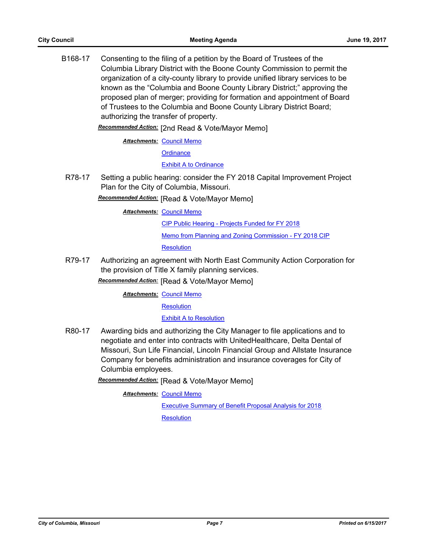B168-17 Consenting to the filing of a petition by the Board of Trustees of the Columbia Library District with the Boone County Commission to permit the organization of a city-county library to provide unified library services to be known as the "Columbia and Boone County Library District;" approving the proposed plan of merger; providing for formation and appointment of Board of Trustees to the Columbia and Boone County Library District Board; authorizing the transfer of property.

*Recommended Action:* [2nd Read & Vote/Mayor Memo]

**Attachments: [Council Memo](http://gocolumbiamo.legistar.com/gateway.aspx?M=F&ID=aeadd4f0-34f2-49d9-92e9-1941a218edaf.docx)** 

**[Ordinance](http://gocolumbiamo.legistar.com/gateway.aspx?M=F&ID=88b92928-b848-4305-9af9-7b00dd5d4c75.doc)** 

## [Exhibit A to Ordinance](http://gocolumbiamo.legistar.com/gateway.aspx?M=F&ID=addf985d-4591-4045-bea8-2c3e55e3a825.pdf)

R78-17 Setting a public hearing: consider the FY 2018 Capital Improvement Project Plan for the City of Columbia, Missouri.

*Recommended Action:* [Read & Vote/Mayor Memo]

**Attachments: [Council Memo](http://gocolumbiamo.legistar.com/gateway.aspx?M=F&ID=ecff2251-0625-4dc6-afad-c150e68e6b18.docx)** 

[CIP Public Hearing - Projects Funded for FY 2018](http://gocolumbiamo.legistar.com/gateway.aspx?M=F&ID=d3fbc8ca-e087-4c88-9699-b54789fe5b08.pdf)

[Memo from Planning and Zoning Commission - FY 2018 CIP](http://gocolumbiamo.legistar.com/gateway.aspx?M=F&ID=b35895e1-3e71-43d9-9ca0-942b1c4d3629.pdf)

**[Resolution](http://gocolumbiamo.legistar.com/gateway.aspx?M=F&ID=36ddb9fb-e68a-4576-889c-7e97159295c4.doc)** 

R79-17 Authorizing an agreement with North East Community Action Corporation for the provision of Title X family planning services.

*Recommended Action:* [Read & Vote/Mayor Memo]

**Attachments: [Council Memo](http://gocolumbiamo.legistar.com/gateway.aspx?M=F&ID=68caf636-1e4c-4209-aafb-46747d0d2dfc.docx)** 

**[Resolution](http://gocolumbiamo.legistar.com/gateway.aspx?M=F&ID=6217bda0-faa7-42a5-8e10-8b20157237ef.doc)** 

[Exhibit A to Resolution](http://gocolumbiamo.legistar.com/gateway.aspx?M=F&ID=75bc14f1-2be4-4d3c-a26f-26b5e53b4b3f.pdf)

R80-17 Awarding bids and authorizing the City Manager to file applications and to negotiate and enter into contracts with UnitedHealthcare, Delta Dental of Missouri, Sun Life Financial, Lincoln Financial Group and Allstate Insurance Company for benefits administration and insurance coverages for City of Columbia employees.

*Recommended Action:* [Read & Vote/Mayor Memo]

**Attachments: [Council Memo](http://gocolumbiamo.legistar.com/gateway.aspx?M=F&ID=1214727c-a076-4f1d-858d-321e1eabd58b.docx)** 

[Executive Summary of Benefit Proposal Analysis for 2018](http://gocolumbiamo.legistar.com/gateway.aspx?M=F&ID=8e48bc03-86e5-4212-8e57-84b73b0ca5b4.docx) **[Resolution](http://gocolumbiamo.legistar.com/gateway.aspx?M=F&ID=e94c545b-776f-403b-9b37-b89e20d67663.doc)**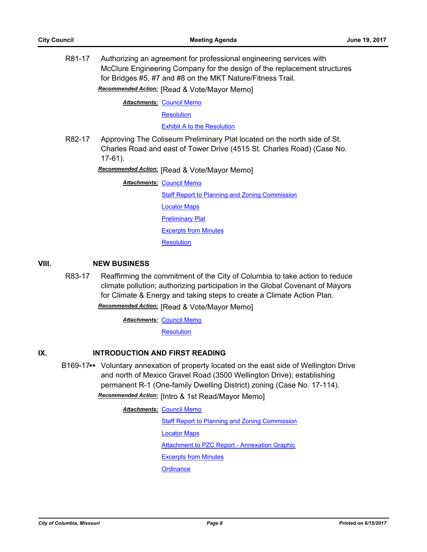R81-17 Authorizing an agreement for professional engineering services with McClure Engineering Company for the design of the replacement structures for Bridges #5, #7 and #8 on the MKT Nature/Fitness Trail.

*Recommended Action:* [Read & Vote/Mayor Memo]

**Attachments: [Council Memo](http://gocolumbiamo.legistar.com/gateway.aspx?M=F&ID=6464d60b-2d8e-4550-8fad-d9bd36502a6d.docx)** 

**[Resolution](http://gocolumbiamo.legistar.com/gateway.aspx?M=F&ID=28683a56-7ec7-4708-a7bc-0f9b208bc956.doc)** 

[Exhibit A to the Resolution](http://gocolumbiamo.legistar.com/gateway.aspx?M=F&ID=04dc4810-7bf5-40f2-89ed-d04f8860b63a.pdf)

R82-17 Approving The Coliseum Preliminary Plat located on the north side of St. Charles Road and east of Tower Drive (4515 St. Charles Road) (Case No. 17-61).

*Recommended Action:* [Read & Vote/Mayor Memo]

**Attachments: [Council Memo](http://gocolumbiamo.legistar.com/gateway.aspx?M=F&ID=efcbcc3c-e34a-44d9-8191-f98d407c8bc6.docx)** [Staff Report to Planning and Zoning Commission](http://gocolumbiamo.legistar.com/gateway.aspx?M=F&ID=f5f81b63-358f-4984-b651-cfb2b84eb9c7.docx) [Locator Maps](http://gocolumbiamo.legistar.com/gateway.aspx?M=F&ID=437ea40e-2450-4131-b92a-31c182f4651b.pdf) **[Preliminary Plat](http://gocolumbiamo.legistar.com/gateway.aspx?M=F&ID=43e6da8e-7cf4-4326-9454-554bcf6df7eb.pdf)** [Excerpts from Minutes](http://gocolumbiamo.legistar.com/gateway.aspx?M=F&ID=3b417ea0-b35f-427b-bc84-a76a92cf044b.pdf) **[Resolution](http://gocolumbiamo.legistar.com/gateway.aspx?M=F&ID=bf2cbeb2-3ade-4a44-8d6c-365a942c2e48.doc)** 

#### **VIII. NEW BUSINESS**

R83-17 Reaffirming the commitment of the City of Columbia to take action to reduce climate pollution; authorizing participation in the Global Covenant of Mayors for Climate & Energy and taking steps to create a Climate Action Plan. *Recommended Action:* [Read & Vote/Mayor Memo]

**Attachments: [Council Memo](http://gocolumbiamo.legistar.com/gateway.aspx?M=F&ID=c5b3c576-4ce3-49cf-97c3-63a062fb6ce7.docx)** 

**[Resolution](http://gocolumbiamo.legistar.com/gateway.aspx?M=F&ID=3d944eb6-818d-4878-9c49-9a4ca3b742e6.doc)** 

# **IX. INTRODUCTION AND FIRST READING**

B169-17**\*\*** Voluntary annexation of property located on the east side of Wellington Drive and north of Mexico Gravel Road (3500 Wellington Drive); establishing permanent R-1 (One-family Dwelling District) zoning (Case No. 17-114).

*Recommended Action:* [Intro & 1st Read/Mayor Memo]

**Attachments: [Council Memo](http://gocolumbiamo.legistar.com/gateway.aspx?M=F&ID=690b21e2-74cd-407c-b4a4-0899fb8806d4.docx)** [Staff Report to Planning and Zoning Commission](http://gocolumbiamo.legistar.com/gateway.aspx?M=F&ID=a73bb496-14a5-47d6-96c7-8a9f5ebc0061.docx) [Locator Maps](http://gocolumbiamo.legistar.com/gateway.aspx?M=F&ID=fc7910e0-59ea-4404-9351-79f6b546a6c1.pdf) [Attachment to PZC Report - Annexation Graphic](http://gocolumbiamo.legistar.com/gateway.aspx?M=F&ID=d7bde5c6-daa0-41e4-9951-b7d2df5b37ad.pdf) [Excerpts from Minutes](http://gocolumbiamo.legistar.com/gateway.aspx?M=F&ID=eb36d120-8aeb-400c-9677-f91dc51e6be9.pdf) **[Ordinance](http://gocolumbiamo.legistar.com/gateway.aspx?M=F&ID=bc35e420-f045-40d4-a7da-caced6a987a6.doc)**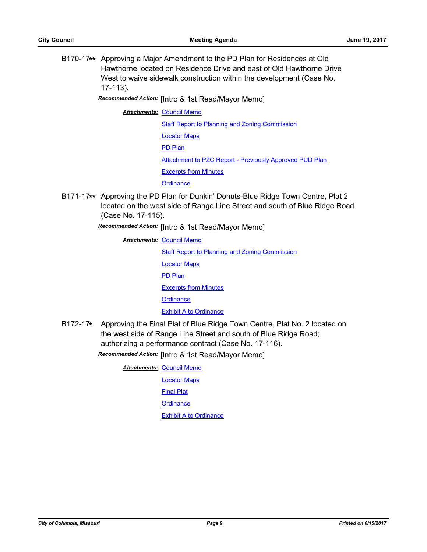B170-17**\*\*** Approving a Major Amendment to the PD Plan for Residences at Old Hawthorne located on Residence Drive and east of Old Hawthorne Drive West to waive sidewalk construction within the development (Case No. 17-113).

*Recommended Action:* [Intro & 1st Read/Mayor Memo]

**Attachments: [Council Memo](http://gocolumbiamo.legistar.com/gateway.aspx?M=F&ID=8f2b59ff-544a-4110-bcc1-5ac62760970d.docx)** 

**[Staff Report to Planning and Zoning Commission](http://gocolumbiamo.legistar.com/gateway.aspx?M=F&ID=e8475df7-43a8-447a-b7b1-16c0a260047f.docx)** [Locator Maps](http://gocolumbiamo.legistar.com/gateway.aspx?M=F&ID=f303cfe6-ee8c-4253-94bb-c6bc4702ee21.pdf) [PD Plan](http://gocolumbiamo.legistar.com/gateway.aspx?M=F&ID=bd01432c-918a-4d0f-bf70-7f9a17f8abfb.pdf) [Attachment to PZC Report - Previously Approved PUD Plan](http://gocolumbiamo.legistar.com/gateway.aspx?M=F&ID=f6c35042-1b2b-48a5-a221-0339d624ab71.pdf) [Excerpts from Minutes](http://gocolumbiamo.legistar.com/gateway.aspx?M=F&ID=765e99c2-0f76-4b90-ac70-7f2937608165.pdf) **[Ordinance](http://gocolumbiamo.legistar.com/gateway.aspx?M=F&ID=474e8c1e-5ac1-49e9-8c6a-ef5d1a1f3918.doc)** 

B171-17**\*\*** Approving the PD Plan for Dunkin' Donuts-Blue Ridge Town Centre, Plat 2 located on the west side of Range Line Street and south of Blue Ridge Road (Case No. 17-115).

*Recommended Action:* [Intro & 1st Read/Mayor Memo]

- **Attachments: [Council Memo](http://gocolumbiamo.legistar.com/gateway.aspx?M=F&ID=eece016d-58b6-4658-957a-8dcd46cb7b23.docx)** [Staff Report to Planning and Zoning Commission](http://gocolumbiamo.legistar.com/gateway.aspx?M=F&ID=0a019cfc-3e9a-4738-acc7-9108f9c5c449.docx) [Locator Maps](http://gocolumbiamo.legistar.com/gateway.aspx?M=F&ID=d899d9a8-db37-4ae1-ace9-7ce0d8ee1be9.pdf) [PD Plan](http://gocolumbiamo.legistar.com/gateway.aspx?M=F&ID=a4d866c2-cdc3-4044-bcfe-fd8baede1941.pdf) [Excerpts from Minutes](http://gocolumbiamo.legistar.com/gateway.aspx?M=F&ID=c62c4209-f050-448a-97a2-317da6559f48.pdf) **[Ordinance](http://gocolumbiamo.legistar.com/gateway.aspx?M=F&ID=b5f09694-abb2-4f3d-bb89-61464818bdbf.doc)** [Exhibit A to Ordinance](http://gocolumbiamo.legistar.com/gateway.aspx?M=F&ID=a8327d5f-6d40-442b-b378-9c4be223561e.pdf)
- B172-17**\*** Approving the Final Plat of Blue Ridge Town Centre, Plat No. 2 located on the west side of Range Line Street and south of Blue Ridge Road; authorizing a performance contract (Case No. 17-116).

*Recommended Action:* [Intro & 1st Read/Mayor Memo]

**Attachments: [Council Memo](http://gocolumbiamo.legistar.com/gateway.aspx?M=F&ID=b4454be3-4ba8-4a06-a79a-b504812a9cf0.docx)** 

[Locator Maps](http://gocolumbiamo.legistar.com/gateway.aspx?M=F&ID=477840b8-5e79-4e27-895f-52a97a7da552.pdf)

[Final Plat](http://gocolumbiamo.legistar.com/gateway.aspx?M=F&ID=95675072-7d4c-450c-a3cb-95b8879720d6.pdf)

**[Ordinance](http://gocolumbiamo.legistar.com/gateway.aspx?M=F&ID=f66e50b9-6ff8-4b29-ac3f-1b3e550a0584.doc)**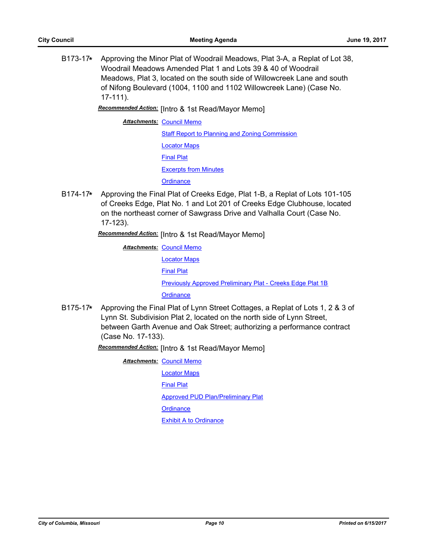B173-17**\*** Approving the Minor Plat of Woodrail Meadows, Plat 3-A, a Replat of Lot 38, Woodrail Meadows Amended Plat 1 and Lots 39 & 40 of Woodrail Meadows, Plat 3, located on the south side of Willowcreek Lane and south of Nifong Boulevard (1004, 1100 and 1102 Willowcreek Lane) (Case No. 17-111).

*Recommended Action:* [Intro & 1st Read/Mayor Memo]

**Attachments: [Council Memo](http://gocolumbiamo.legistar.com/gateway.aspx?M=F&ID=41ee4492-9d3e-43cf-a928-57b675657460.docx)** 

[Staff Report to Planning and Zoning Commission](http://gocolumbiamo.legistar.com/gateway.aspx?M=F&ID=2f486fa8-57c0-4bb5-8583-c6d791d61a6b.docx)

[Locator Maps](http://gocolumbiamo.legistar.com/gateway.aspx?M=F&ID=bc7fabd0-7cce-42f3-bbac-f4a805086170.pdf) [Final Plat](http://gocolumbiamo.legistar.com/gateway.aspx?M=F&ID=d81bbd99-8c45-42cd-af08-8ee4c310501b.pdf) [Excerpts from Minutes](http://gocolumbiamo.legistar.com/gateway.aspx?M=F&ID=2d7a7723-28c9-4add-9a6c-2f4fbf01627b.pdf) **[Ordinance](http://gocolumbiamo.legistar.com/gateway.aspx?M=F&ID=835d0337-05e2-45ea-9d82-45e1b75d6820.doc)** 

B174-17**\*** Approving the Final Plat of Creeks Edge, Plat 1-B, a Replat of Lots 101-105 of Creeks Edge, Plat No. 1 and Lot 201 of Creeks Edge Clubhouse, located on the northeast corner of Sawgrass Drive and Valhalla Court (Case No. 17-123).

*Recommended Action:* [Intro & 1st Read/Mayor Memo]

**Attachments: [Council Memo](http://gocolumbiamo.legistar.com/gateway.aspx?M=F&ID=4542f850-74c8-44fb-b9c9-b8914bc80cd0.docx)** 

[Locator Maps](http://gocolumbiamo.legistar.com/gateway.aspx?M=F&ID=566d266b-0eb7-480f-ae1a-3943248f258a.pdf)

[Final Plat](http://gocolumbiamo.legistar.com/gateway.aspx?M=F&ID=bb6d21aa-a5da-4337-bc8a-fd694d6b11e9.pdf)

[Previously Approved Preliminary Plat - Creeks Edge Plat 1B](http://gocolumbiamo.legistar.com/gateway.aspx?M=F&ID=58a576d0-bc53-4959-8eae-efcdce44484e.pdf)

**[Ordinance](http://gocolumbiamo.legistar.com/gateway.aspx?M=F&ID=f6d0b7a0-92d2-4041-ac26-7283785d735a.doc)** 

B175-17**\*** Approving the Final Plat of Lynn Street Cottages, a Replat of Lots 1, 2 & 3 of Lynn St. Subdivision Plat 2, located on the north side of Lynn Street, between Garth Avenue and Oak Street; authorizing a performance contract (Case No. 17-133).

*Recommended Action:* [Intro & 1st Read/Mayor Memo]

**Attachments: [Council Memo](http://gocolumbiamo.legistar.com/gateway.aspx?M=F&ID=2d211a82-f49c-4058-b3eb-057aea0b710e.docx)** 

[Locator Maps](http://gocolumbiamo.legistar.com/gateway.aspx?M=F&ID=2b8568ec-10f7-407b-932e-5a2b1130577e.pdf)

[Final Plat](http://gocolumbiamo.legistar.com/gateway.aspx?M=F&ID=b5f7cff7-be5d-4d00-bf9e-c10339ac5d6f.pdf)

[Approved PUD Plan/Preliminary Plat](http://gocolumbiamo.legistar.com/gateway.aspx?M=F&ID=a8f7eb65-f7e1-4645-9889-9f27fd2b6051.pdf)

**[Ordinance](http://gocolumbiamo.legistar.com/gateway.aspx?M=F&ID=ec9dc56e-1263-4933-8467-a06e44b96d23.doc)**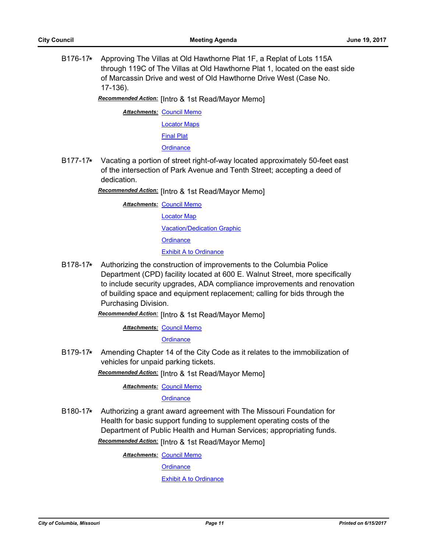B176-17**\*** Approving The Villas at Old Hawthorne Plat 1F, a Replat of Lots 115A through 119C of The Villas at Old Hawthorne Plat 1, located on the east side of Marcassin Drive and west of Old Hawthorne Drive West (Case No. 17-136).

*Recommended Action:* [Intro & 1st Read/Mayor Memo]

**Attachments: [Council Memo](http://gocolumbiamo.legistar.com/gateway.aspx?M=F&ID=645631ff-e2f4-4144-97e1-3924b2ef5657.docx)** 

[Locator Maps](http://gocolumbiamo.legistar.com/gateway.aspx?M=F&ID=4e83be20-e0c0-4db9-843d-809a6f5a1c93.pdf)

[Final Plat](http://gocolumbiamo.legistar.com/gateway.aspx?M=F&ID=a51f5316-e101-4f80-a13b-20227ff1ada7.pdf)

**[Ordinance](http://gocolumbiamo.legistar.com/gateway.aspx?M=F&ID=7f66d3f0-4aec-466a-bc44-991edf7e7a79.doc)** 

B177-17**\*** Vacating a portion of street right-of-way located approximately 50-feet east of the intersection of Park Avenue and Tenth Street; accepting a deed of dedication.

*Recommended Action:* [Intro & 1st Read/Mayor Memo]

- **Attachments: [Council Memo](http://gocolumbiamo.legistar.com/gateway.aspx?M=F&ID=3bb17d4b-334e-47c8-97b2-d228cca6a436.docx)** [Locator Map](http://gocolumbiamo.legistar.com/gateway.aspx?M=F&ID=283fff47-24f6-4609-9cb2-87b1085b095c.docx) [Vacation/Dedication Graphic](http://gocolumbiamo.legistar.com/gateway.aspx?M=F&ID=26c636b5-9dcf-4420-b329-75649bc7df5e.pdf) **[Ordinance](http://gocolumbiamo.legistar.com/gateway.aspx?M=F&ID=c6005676-38df-447d-b07a-ba4383c928e1.doc)** [Exhibit A to Ordinance](http://gocolumbiamo.legistar.com/gateway.aspx?M=F&ID=5637c0f3-43e5-4266-ae0b-02253215118a.pdf)
- B178-17**\*** Authorizing the construction of improvements to the Columbia Police Department (CPD) facility located at 600 E. Walnut Street, more specifically to include security upgrades, ADA compliance improvements and renovation of building space and equipment replacement; calling for bids through the Purchasing Division.

*Recommended Action:* [Intro & 1st Read/Mayor Memo]

**Attachments: [Council Memo](http://gocolumbiamo.legistar.com/gateway.aspx?M=F&ID=dd12ee8c-76c5-4976-8dd3-8cc59eeb9e1c.docx)** 

**[Ordinance](http://gocolumbiamo.legistar.com/gateway.aspx?M=F&ID=5a42cc7b-aeae-4b19-b37a-89b5597c8f9e.doc)** 

B179-17**\*** Amending Chapter 14 of the City Code as it relates to the immobilization of vehicles for unpaid parking tickets.

*Recommended Action:* [Intro & 1st Read/Mayor Memo]

**Attachments: [Council Memo](http://gocolumbiamo.legistar.com/gateway.aspx?M=F&ID=e8916d52-f23d-4405-8c7c-96ceb8a2358a.docx)** 

**[Ordinance](http://gocolumbiamo.legistar.com/gateway.aspx?M=F&ID=b928cdbd-4e05-4ebc-ba5f-b25b80fb2293.doc)** 

B180-17**\*** Authorizing a grant award agreement with The Missouri Foundation for Health for basic support funding to supplement operating costs of the Department of Public Health and Human Services; appropriating funds. *Recommended Action:* [Intro & 1st Read/Mayor Memo]

**Attachments: [Council Memo](http://gocolumbiamo.legistar.com/gateway.aspx?M=F&ID=3b9a47bd-0f22-4e1f-8ee7-35f699749513.docx)** 

**[Ordinance](http://gocolumbiamo.legistar.com/gateway.aspx?M=F&ID=f6fc45f8-1284-401b-acc8-f6c6e7a317ac.doc)**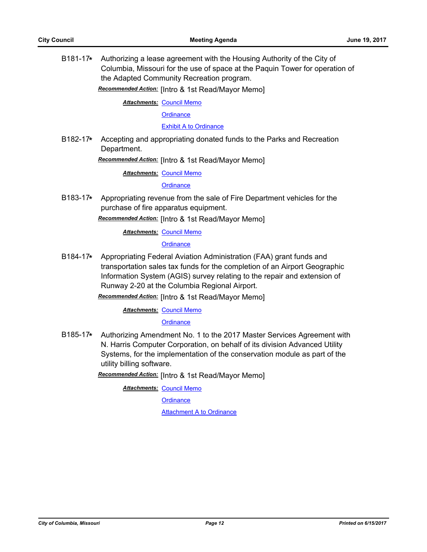B181-17**\*** Authorizing a lease agreement with the Housing Authority of the City of Columbia, Missouri for the use of space at the Paquin Tower for operation of the Adapted Community Recreation program.

*Recommended Action:* [Intro & 1st Read/Mayor Memo]

**Attachments: [Council Memo](http://gocolumbiamo.legistar.com/gateway.aspx?M=F&ID=f2b9b718-6487-4289-aef8-6d166d1732dc.docx)** 

**[Ordinance](http://gocolumbiamo.legistar.com/gateway.aspx?M=F&ID=3a6aa2c6-d09b-421a-8de1-9b697a6b721c.doc)** 

**[Exhibit A to Ordinance](http://gocolumbiamo.legistar.com/gateway.aspx?M=F&ID=5a079537-868d-440b-b505-e5291f72480a.pdf)** 

B182-17**\*** Accepting and appropriating donated funds to the Parks and Recreation Department.

*Recommended Action:* [Intro & 1st Read/Mayor Memo]

**Attachments: [Council Memo](http://gocolumbiamo.legistar.com/gateway.aspx?M=F&ID=13277af3-9777-4284-a1d5-b063c553ef50.docx)** 

**[Ordinance](http://gocolumbiamo.legistar.com/gateway.aspx?M=F&ID=78bf0ff9-e626-429d-9796-a5ca45ecc433.doc)** 

B183-17**\*** Appropriating revenue from the sale of Fire Department vehicles for the purchase of fire apparatus equipment.

*Recommended Action:* [Intro & 1st Read/Mayor Memo]

**Attachments: [Council Memo](http://gocolumbiamo.legistar.com/gateway.aspx?M=F&ID=890b6c97-2670-443b-a982-f88053119b61.docx)** 

**[Ordinance](http://gocolumbiamo.legistar.com/gateway.aspx?M=F&ID=6b238be2-ffe9-41ac-adb8-5ef196fdf2d5.doc)** 

B184-17**\*** Appropriating Federal Aviation Administration (FAA) grant funds and transportation sales tax funds for the completion of an Airport Geographic Information System (AGIS) survey relating to the repair and extension of Runway 2-20 at the Columbia Regional Airport.

*Recommended Action:* [Intro & 1st Read/Mayor Memo]

**Attachments: [Council Memo](http://gocolumbiamo.legistar.com/gateway.aspx?M=F&ID=fbba1192-ed91-4d2c-8eb0-f8144bd04b09.docx)** 

**[Ordinance](http://gocolumbiamo.legistar.com/gateway.aspx?M=F&ID=405cae41-8da4-4494-9479-a110aaaba7e3.doc)** 

B185-17**\*** Authorizing Amendment No. 1 to the 2017 Master Services Agreement with N. Harris Computer Corporation, on behalf of its division Advanced Utility Systems, for the implementation of the conservation module as part of the utility billing software.

*Recommended Action:* [Intro & 1st Read/Mayor Memo]

**Attachments: [Council Memo](http://gocolumbiamo.legistar.com/gateway.aspx?M=F&ID=d1a49356-ffae-4000-a8a4-2d086ca1399e.docx)** 

**[Ordinance](http://gocolumbiamo.legistar.com/gateway.aspx?M=F&ID=010fceca-07b9-4807-9303-0f0d8515478a.doc)** 

[Attachment A to Ordinance](http://gocolumbiamo.legistar.com/gateway.aspx?M=F&ID=8669077f-30aa-4593-a35e-86eeabb3e415.pdf)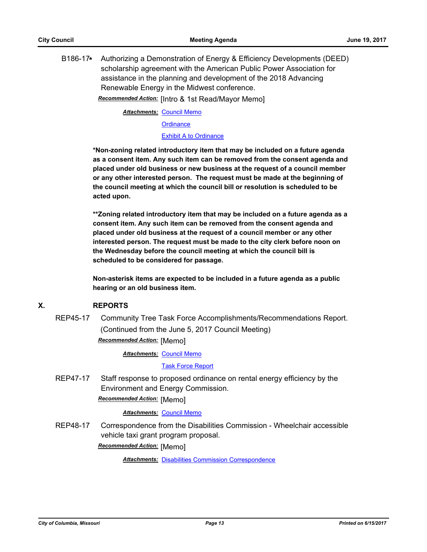B186-17**\*** Authorizing a Demonstration of Energy & Efficiency Developments (DEED) scholarship agreement with the American Public Power Association for assistance in the planning and development of the 2018 Advancing Renewable Energy in the Midwest conference.

*Recommended Action:* [Intro & 1st Read/Mayor Memo]

**Attachments: [Council Memo](http://gocolumbiamo.legistar.com/gateway.aspx?M=F&ID=109dae6e-1644-4f40-b310-ff78f353e275.docx)** 

**[Ordinance](http://gocolumbiamo.legistar.com/gateway.aspx?M=F&ID=d77c124f-2f4a-4490-869d-33ccd878decb.doc)** 

[Exhibit A to Ordinance](http://gocolumbiamo.legistar.com/gateway.aspx?M=F&ID=de68d63f-2ab2-4163-a305-15913739c407.pdf)

**\*Non-zoning related introductory item that may be included on a future agenda as a consent item. Any such item can be removed from the consent agenda and placed under old business or new business at the request of a council member or any other interested person. The request must be made at the beginning of the council meeting at which the council bill or resolution is scheduled to be acted upon.** 

**\*\*Zoning related introductory item that may be included on a future agenda as a consent item. Any such item can be removed from the consent agenda and placed under old business at the request of a council member or any other interested person. The request must be made to the city clerk before noon on the Wednesday before the council meeting at which the council bill is scheduled to be considered for passage.**

**Non-asterisk items are expected to be included in a future agenda as a public hearing or an old business item.**

#### **X. REPORTS**

REP45-17 Community Tree Task Force Accomplishments/Recommendations Report. (Continued from the June 5, 2017 Council Meeting) *Recommended Action:* [Memo]

**Attachments: [Council Memo](http://gocolumbiamo.legistar.com/gateway.aspx?M=F&ID=7dcf4d0d-881a-4c6d-b2e1-8b872a619b67.docx)** 

[Task Force Report](http://gocolumbiamo.legistar.com/gateway.aspx?M=F&ID=21ecc424-dc58-401d-b695-e25f972b0bc5.pdf)

REP47-17 Staff response to proposed ordinance on rental energy efficiency by the Environment and Energy Commission.

*Recommended Action:* [Memo]

#### *Attachments:* [Council Memo](http://gocolumbiamo.legistar.com/gateway.aspx?M=F&ID=181ac82d-b946-4388-a6bb-0bdc14b6aa65.docx)

REP48-17 Correspondence from the Disabilities Commission - Wheelchair accessible vehicle taxi grant program proposal.

*Recommended Action:* [Memo]

**Attachments: [Disabilities Commission Correspondence](http://gocolumbiamo.legistar.com/gateway.aspx?M=F&ID=3dfbf8c0-bb98-4df3-be41-460402c2cd01.doc)**